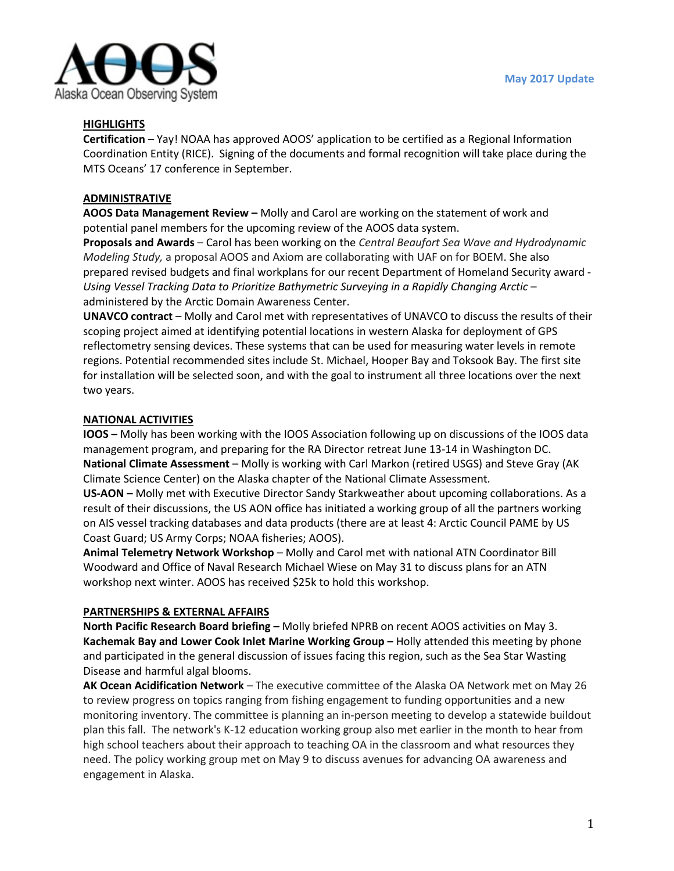

### **HIGHLIGHTS**

**Certification** – Yay! NOAA has approved AOOS' application to be certified as a Regional Information Coordination Entity (RICE). Signing of the documents and formal recognition will take place during the MTS Oceans' 17 conference in September.

## **ADMINISTRATIVE**

**AOOS Data Management Review –** Molly and Carol are working on the statement of work and potential panel members for the upcoming review of the AOOS data system.

**Proposals and Awards** – Carol has been working on the *Central Beaufort Sea Wave and Hydrodynamic Modeling Study,* a proposal AOOS and Axiom are collaborating with UAF on for BOEM. She also prepared revised budgets and final workplans for our recent Department of Homeland Security award - *Using Vessel Tracking Data to Prioritize Bathymetric Surveying in a Rapidly Changing Arctic* – administered by the Arctic Domain Awareness Center.

**UNAVCO contract** – Molly and Carol met with representatives of UNAVCO to discuss the results of their scoping project aimed at identifying potential locations in western Alaska for deployment of GPS reflectometry sensing devices. These systems that can be used for measuring water levels in remote regions. Potential recommended sites include St. Michael, Hooper Bay and Toksook Bay. The first site for installation will be selected soon, and with the goal to instrument all three locations over the next two years.

## **NATIONAL ACTIVITIES**

**IOOS –** Molly has been working with the IOOS Association following up on discussions of the IOOS data management program, and preparing for the RA Director retreat June 13-14 in Washington DC. **National Climate Assessment** – Molly is working with Carl Markon (retired USGS) and Steve Gray (AK Climate Science Center) on the Alaska chapter of the National Climate Assessment.

**US-AON –** Molly met with Executive Director Sandy Starkweather about upcoming collaborations. As a result of their discussions, the US AON office has initiated a working group of all the partners working on AIS vessel tracking databases and data products (there are at least 4: Arctic Council PAME by US Coast Guard; US Army Corps; NOAA fisheries; AOOS).

**Animal Telemetry Network Workshop** – Molly and Carol met with national ATN Coordinator Bill Woodward and Office of Naval Research Michael Wiese on May 31 to discuss plans for an ATN workshop next winter. AOOS has received \$25k to hold this workshop.

#### **PARTNERSHIPS & EXTERNAL AFFAIRS**

**North Pacific Research Board briefing –** Molly briefed NPRB on recent AOOS activities on May 3. **Kachemak Bay and Lower Cook Inlet Marine Working Group –** Holly attended this meeting by phone and participated in the general discussion of issues facing this region, such as the Sea Star Wasting Disease and harmful algal blooms.

**AK Ocean Acidification Network** – The executive committee of the Alaska OA Network met on May 26 to review progress on topics ranging from fishing engagement to funding opportunities and a new monitoring inventory. The committee is planning an in-person meeting to develop a statewide buildout plan this fall. The network's K-12 education working group also met earlier in the month to hear from high school teachers about their approach to teaching OA in the classroom and what resources they need. The policy working group met on May 9 to discuss avenues for advancing OA awareness and engagement in Alaska.